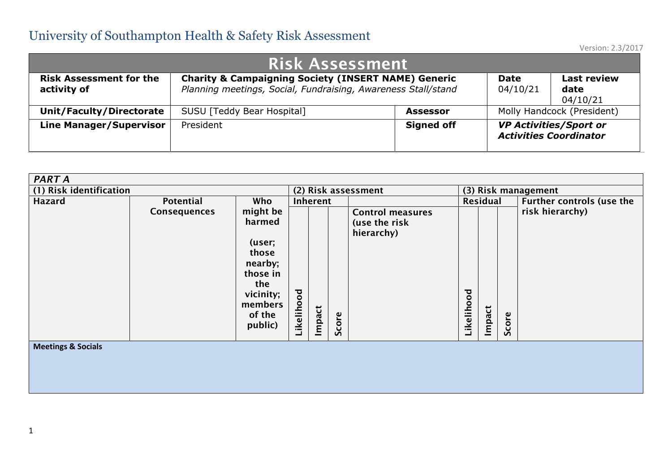| <b>Risk Assessment</b>                                                                                                                                                                                                                                |                                   |                   |  |                                                                |  |  |  |  |  |  |  |  |  |
|-------------------------------------------------------------------------------------------------------------------------------------------------------------------------------------------------------------------------------------------------------|-----------------------------------|-------------------|--|----------------------------------------------------------------|--|--|--|--|--|--|--|--|--|
| <b>Charity &amp; Campaigning Society (INSERT NAME) Generic</b><br><b>Risk Assessment for the</b><br><b>Last review</b><br><b>Date</b><br>Planning meetings, Social, Fundraising, Awareness Stall/stand<br>activity of<br>04/10/21<br>date<br>04/10/21 |                                   |                   |  |                                                                |  |  |  |  |  |  |  |  |  |
| <b>Unit/Faculty/Directorate</b>                                                                                                                                                                                                                       | <b>SUSU [Teddy Bear Hospital]</b> | <b>Assessor</b>   |  | Molly Handcock (President)                                     |  |  |  |  |  |  |  |  |  |
| <b>Line Manager/Supervisor</b>                                                                                                                                                                                                                        | President                         | <b>Signed off</b> |  | <b>VP Activities/Sport or</b><br><b>Activities Coordinator</b> |  |  |  |  |  |  |  |  |  |

| <b>PART A</b>                 |              |                                                                                                                  |            |          |           |                                                        |            |          |       |                                  |
|-------------------------------|--------------|------------------------------------------------------------------------------------------------------------------|------------|----------|-----------|--------------------------------------------------------|------------|----------|-------|----------------------------------|
| (1) Risk identification       |              |                                                                                                                  |            |          |           | (2) Risk assessment                                    |            |          |       | (3) Risk management              |
| <b>Hazard</b>                 | Potential    | Who                                                                                                              |            | Inherent |           |                                                        |            | Residual |       | <b>Further controls (use the</b> |
|                               | Consequences | might be<br>harmed<br>(user;<br>those<br>nearby;<br>those in<br>the<br>vicinity;<br>members<br>of the<br>public) | Likelihood | Impact   | core<br>Ū | <b>Control measures</b><br>(use the risk<br>hierarchy) | Likelihood | Impact   | Score | risk hierarchy)                  |
| <b>Meetings &amp; Socials</b> |              |                                                                                                                  |            |          |           |                                                        |            |          |       |                                  |
|                               |              |                                                                                                                  |            |          |           |                                                        |            |          |       |                                  |
|                               |              |                                                                                                                  |            |          |           |                                                        |            |          |       |                                  |
|                               |              |                                                                                                                  |            |          |           |                                                        |            |          |       |                                  |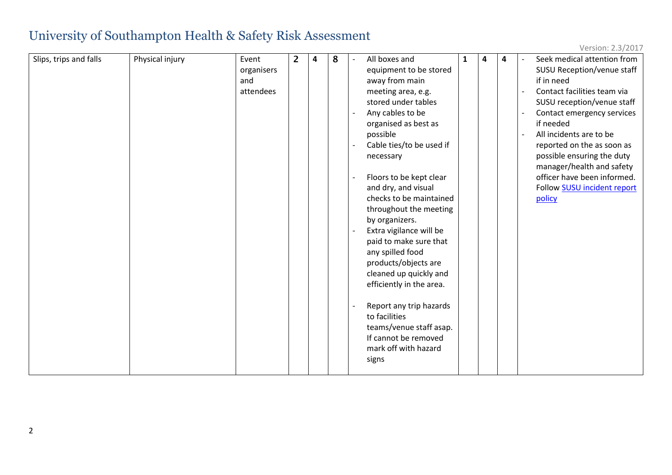| Slips, trips and falls | Physical injury | Event      | $\overline{2}$ | $\overline{a}$ | 8 | All boxes and<br>$\overline{\phantom{a}}$ | 1 | $\overline{\mathbf{4}}$ | 4 | Seek medical attention from |
|------------------------|-----------------|------------|----------------|----------------|---|-------------------------------------------|---|-------------------------|---|-----------------------------|
|                        |                 | organisers |                |                |   | equipment to be stored                    |   |                         |   | SUSU Reception/venue staff  |
|                        |                 | and        |                |                |   | away from main                            |   |                         |   | if in need                  |
|                        |                 | attendees  |                |                |   | meeting area, e.g.                        |   |                         |   | Contact facilities team via |
|                        |                 |            |                |                |   | stored under tables                       |   |                         |   | SUSU reception/venue staff  |
|                        |                 |            |                |                |   | Any cables to be                          |   |                         |   | Contact emergency services  |
|                        |                 |            |                |                |   | organised as best as                      |   |                         |   | if needed                   |
|                        |                 |            |                |                |   | possible                                  |   |                         |   | All incidents are to be     |
|                        |                 |            |                |                |   | Cable ties/to be used if                  |   |                         |   | reported on the as soon as  |
|                        |                 |            |                |                |   | necessary                                 |   |                         |   | possible ensuring the duty  |
|                        |                 |            |                |                |   |                                           |   |                         |   | manager/health and safety   |
|                        |                 |            |                |                |   | Floors to be kept clear                   |   |                         |   | officer have been informed. |
|                        |                 |            |                |                |   | and dry, and visual                       |   |                         |   | Follow SUSU incident report |
|                        |                 |            |                |                |   | checks to be maintained                   |   |                         |   | policy                      |
|                        |                 |            |                |                |   | throughout the meeting                    |   |                         |   |                             |
|                        |                 |            |                |                |   | by organizers.                            |   |                         |   |                             |
|                        |                 |            |                |                |   | Extra vigilance will be                   |   |                         |   |                             |
|                        |                 |            |                |                |   | paid to make sure that                    |   |                         |   |                             |
|                        |                 |            |                |                |   | any spilled food                          |   |                         |   |                             |
|                        |                 |            |                |                |   | products/objects are                      |   |                         |   |                             |
|                        |                 |            |                |                |   | cleaned up quickly and                    |   |                         |   |                             |
|                        |                 |            |                |                |   | efficiently in the area.                  |   |                         |   |                             |
|                        |                 |            |                |                |   |                                           |   |                         |   |                             |
|                        |                 |            |                |                |   | Report any trip hazards                   |   |                         |   |                             |
|                        |                 |            |                |                |   | to facilities                             |   |                         |   |                             |
|                        |                 |            |                |                |   | teams/venue staff asap.                   |   |                         |   |                             |
|                        |                 |            |                |                |   | If cannot be removed                      |   |                         |   |                             |
|                        |                 |            |                |                |   | mark off with hazard                      |   |                         |   |                             |
|                        |                 |            |                |                |   | signs                                     |   |                         |   |                             |
|                        |                 |            |                |                |   |                                           |   |                         |   |                             |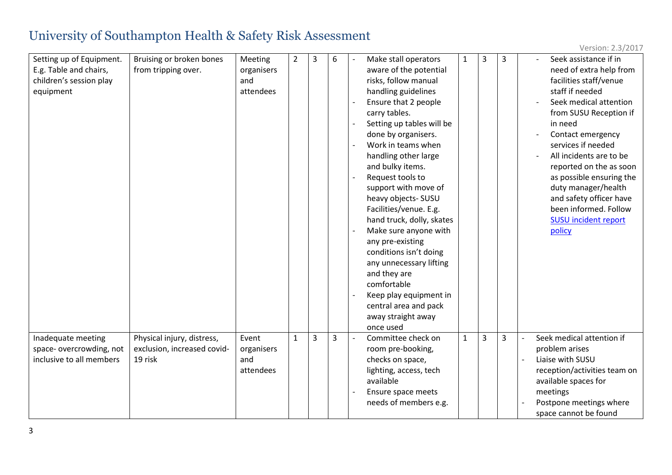| Setting up of Equipment.<br>E.g. Table and chairs,<br>children's session play<br>equipment | Bruising or broken bones<br>from tripping over.                      | Meeting<br>organisers<br>and<br>attendees | $\overline{2}$ | 3 | 6 | Make stall operators<br>aware of the potential<br>risks, follow manual<br>handling guidelines<br>Ensure that 2 people<br>carry tables.<br>Setting up tables will be<br>done by organisers.<br>Work in teams when<br>handling other large<br>and bulky items.<br>Request tools to<br>support with move of<br>heavy objects- SUSU<br>Facilities/venue. E.g.<br>hand truck, dolly, skates<br>Make sure anyone with<br>any pre-existing<br>conditions isn't doing<br>any unnecessary lifting<br>and they are<br>comfortable<br>Keep play equipment in<br>central area and pack<br>away straight away<br>once used | $\mathbf{1}$ | 3 | 3 |                          | Seek assistance if in<br>need of extra help from<br>facilities staff/venue<br>staff if needed<br>Seek medical attention<br>from SUSU Reception if<br>in need<br>Contact emergency<br>services if needed<br>All incidents are to be<br>reported on the as soon<br>as possible ensuring the<br>duty manager/health<br>and safety officer have<br>been informed. Follow<br><b>SUSU</b> incident report<br>policy |
|--------------------------------------------------------------------------------------------|----------------------------------------------------------------------|-------------------------------------------|----------------|---|---|---------------------------------------------------------------------------------------------------------------------------------------------------------------------------------------------------------------------------------------------------------------------------------------------------------------------------------------------------------------------------------------------------------------------------------------------------------------------------------------------------------------------------------------------------------------------------------------------------------------|--------------|---|---|--------------------------|---------------------------------------------------------------------------------------------------------------------------------------------------------------------------------------------------------------------------------------------------------------------------------------------------------------------------------------------------------------------------------------------------------------|
| Inadequate meeting<br>space-overcrowding, not<br>inclusive to all members                  | Physical injury, distress,<br>exclusion, increased covid-<br>19 risk | Event<br>organisers<br>and<br>attendees   | $\mathbf{1}$   | 3 | 3 | Committee check on<br>room pre-booking,<br>checks on space,<br>lighting, access, tech<br>available<br>Ensure space meets<br>needs of members e.g.                                                                                                                                                                                                                                                                                                                                                                                                                                                             | $\mathbf{1}$ | 3 | 3 | $\overline{\phantom{a}}$ | Seek medical attention if<br>problem arises<br>Liaise with SUSU<br>reception/activities team on<br>available spaces for<br>meetings<br>Postpone meetings where<br>space cannot be found                                                                                                                                                                                                                       |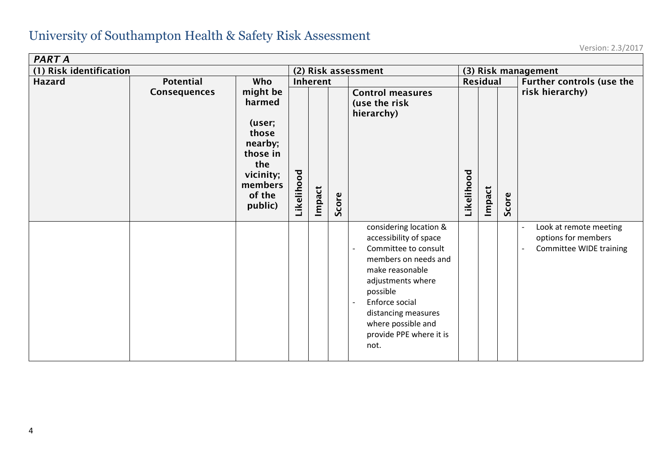| PART A                  |              |                                                                                                                  |            |        |       |                                                                                                                                                                                                                                                        |                     |                 |       |                                                                                                      |  |  |
|-------------------------|--------------|------------------------------------------------------------------------------------------------------------------|------------|--------|-------|--------------------------------------------------------------------------------------------------------------------------------------------------------------------------------------------------------------------------------------------------------|---------------------|-----------------|-------|------------------------------------------------------------------------------------------------------|--|--|
| (1) Risk identification |              |                                                                                                                  |            |        |       | (2) Risk assessment                                                                                                                                                                                                                                    | (3) Risk management |                 |       |                                                                                                      |  |  |
| <b>Hazard</b>           | Potential    | Who                                                                                                              | Inherent   |        |       |                                                                                                                                                                                                                                                        |                     | <b>Residual</b> |       | <b>Further controls (use the</b>                                                                     |  |  |
|                         | Consequences | might be<br>harmed<br>(user;<br>those<br>nearby;<br>those in<br>the<br>vicinity;<br>members<br>of the<br>public) | Likelihood | Impact | Score | <b>Control measures</b><br>(use the risk<br>hierarchy)                                                                                                                                                                                                 | Likelihood          | Impact          | Score | risk hierarchy)                                                                                      |  |  |
|                         |              |                                                                                                                  |            |        |       | considering location &<br>accessibility of space<br>Committee to consult<br>members on needs and<br>make reasonable<br>adjustments where<br>possible<br>Enforce social<br>distancing measures<br>where possible and<br>provide PPE where it is<br>not. |                     |                 |       | Look at remote meeting<br>$\overline{\phantom{a}}$<br>options for members<br>Committee WIDE training |  |  |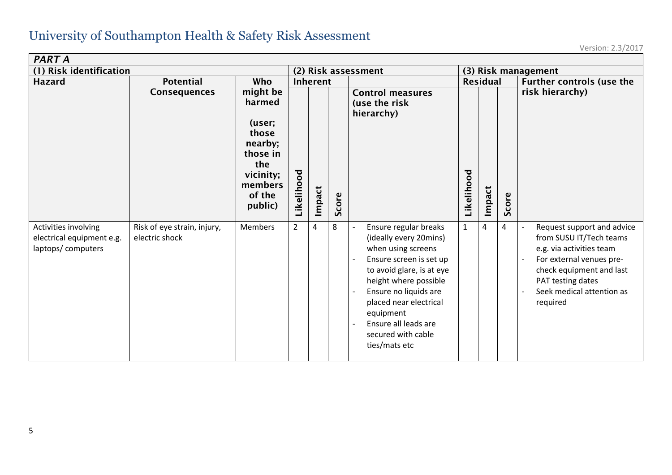| PART A                                                                 |                                               |                                                                                                                                                                    |  |          |       |                                                                                                                                                                                                                                                                                                                                               |                     |                 |       |                                                                                                                                                                                                                                                                 |  |
|------------------------------------------------------------------------|-----------------------------------------------|--------------------------------------------------------------------------------------------------------------------------------------------------------------------|--|----------|-------|-----------------------------------------------------------------------------------------------------------------------------------------------------------------------------------------------------------------------------------------------------------------------------------------------------------------------------------------------|---------------------|-----------------|-------|-----------------------------------------------------------------------------------------------------------------------------------------------------------------------------------------------------------------------------------------------------------------|--|
| (1) Risk identification                                                |                                               |                                                                                                                                                                    |  |          |       | (2) Risk assessment                                                                                                                                                                                                                                                                                                                           | (3) Risk management |                 |       |                                                                                                                                                                                                                                                                 |  |
| <b>Hazard</b>                                                          | <b>Potential</b>                              | Who                                                                                                                                                                |  | Inherent |       |                                                                                                                                                                                                                                                                                                                                               |                     | <b>Residual</b> |       | <b>Further controls (use the</b>                                                                                                                                                                                                                                |  |
|                                                                        | <b>Consequences</b>                           | might be<br>harmed<br>(user;<br>those<br>nearby;<br>those in<br>the<br>Likelihood<br>vicinity;<br>members<br>of the<br>public)<br>$\overline{2}$<br><b>Members</b> |  | Impact   | Score | <b>Control measures</b><br>(use the risk<br>hierarchy)                                                                                                                                                                                                                                                                                        | Likelihood          | Impact          | Score | risk hierarchy)                                                                                                                                                                                                                                                 |  |
| Activities involving<br>electrical equipment e.g.<br>laptops/computers | Risk of eye strain, injury,<br>electric shock |                                                                                                                                                                    |  | 4        | 8     | Ensure regular breaks<br>$\overline{\phantom{a}}$<br>(ideally every 20mins)<br>when using screens<br>Ensure screen is set up<br>to avoid glare, is at eye<br>height where possible<br>Ensure no liquids are<br>$\overline{\phantom{a}}$<br>placed near electrical<br>equipment<br>Ensure all leads are<br>secured with cable<br>ties/mats etc | $\mathbf{1}$        | 4               | 4     | Request support and advice<br>$\overline{\phantom{a}}$<br>from SUSU IT/Tech teams<br>e.g. via activities team<br>For external venues pre-<br>$\overline{\phantom{a}}$<br>check equipment and last<br>PAT testing dates<br>Seek medical attention as<br>required |  |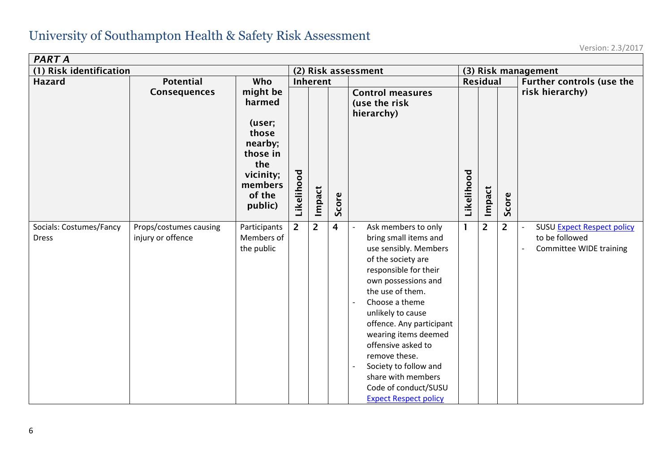| PART A                                  |                                             |                                                                                                                                |                     |                    |                |                                                                                                                                                                                                                                                                                                                                                                                                          |                     |                           |                |                                                                                       |  |  |
|-----------------------------------------|---------------------------------------------|--------------------------------------------------------------------------------------------------------------------------------|---------------------|--------------------|----------------|----------------------------------------------------------------------------------------------------------------------------------------------------------------------------------------------------------------------------------------------------------------------------------------------------------------------------------------------------------------------------------------------------------|---------------------|---------------------------|----------------|---------------------------------------------------------------------------------------|--|--|
| (1) Risk identification                 |                                             |                                                                                                                                | (2) Risk assessment |                    |                |                                                                                                                                                                                                                                                                                                                                                                                                          | (3) Risk management |                           |                |                                                                                       |  |  |
| <b>Hazard</b>                           | <b>Potential</b><br><b>Consequences</b>     | <b>Who</b><br>might be<br>harmed<br>(user;<br>those<br>nearby;<br>those in<br>the<br>vicinity;<br>members<br>of the<br>public) | Likelihood          | Inherent<br>Impact | Score          | <b>Control measures</b><br>(use the risk<br>hierarchy)                                                                                                                                                                                                                                                                                                                                                   | Likelihood          | <b>Residual</b><br>Impact | Score          | Further controls (use the<br>risk hierarchy)                                          |  |  |
| Socials: Costumes/Fancy<br><b>Dress</b> | Props/costumes causing<br>injury or offence | Participants<br>Members of<br>the public                                                                                       | $\overline{2}$      | $\overline{2}$     | $\overline{4}$ | Ask members to only<br>bring small items and<br>use sensibly. Members<br>of the society are<br>responsible for their<br>own possessions and<br>the use of them.<br>Choose a theme<br>unlikely to cause<br>offence. Any participant<br>wearing items deemed<br>offensive asked to<br>remove these.<br>Society to follow and<br>share with members<br>Code of conduct/SUSU<br><b>Expect Respect policy</b> | 1                   | $\overline{2}$            | $\overline{2}$ | <b>SUSU Expect Respect policy</b><br>to be followed<br><b>Committee WIDE training</b> |  |  |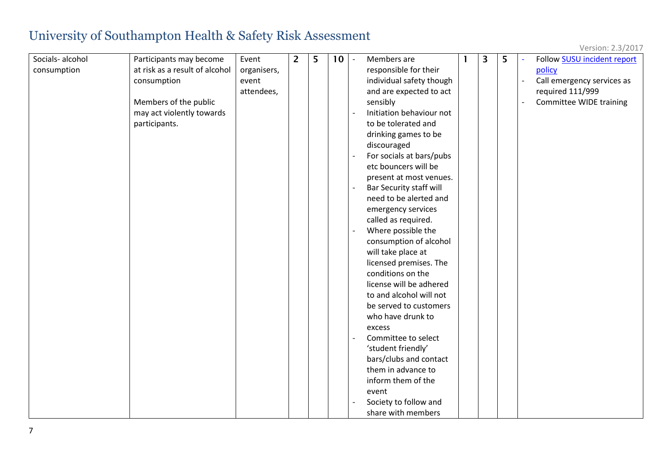| Version: 2.3/2017 |  |
|-------------------|--|
|-------------------|--|

| Socials-alcohol | Participants may become        | Event       | $\overline{2}$ | 5 | 10 <sup>°</sup> | Members are              | $\overline{3}$ | 5 | Follow SUSU incident report |
|-----------------|--------------------------------|-------------|----------------|---|-----------------|--------------------------|----------------|---|-----------------------------|
| consumption     | at risk as a result of alcohol | organisers, |                |   |                 | responsible for their    |                |   | policy                      |
|                 | consumption                    | event       |                |   |                 | individual safety though |                |   | Call emergency services as  |
|                 |                                | attendees,  |                |   |                 | and are expected to act  |                |   | required 111/999            |
|                 | Members of the public          |             |                |   |                 | sensibly                 |                |   | Committee WIDE training     |
|                 | may act violently towards      |             |                |   |                 | Initiation behaviour not |                |   |                             |
|                 | participants.                  |             |                |   |                 | to be tolerated and      |                |   |                             |
|                 |                                |             |                |   |                 | drinking games to be     |                |   |                             |
|                 |                                |             |                |   |                 | discouraged              |                |   |                             |
|                 |                                |             |                |   |                 | For socials at bars/pubs |                |   |                             |
|                 |                                |             |                |   |                 | etc bouncers will be     |                |   |                             |
|                 |                                |             |                |   |                 | present at most venues.  |                |   |                             |
|                 |                                |             |                |   |                 | Bar Security staff will  |                |   |                             |
|                 |                                |             |                |   |                 | need to be alerted and   |                |   |                             |
|                 |                                |             |                |   |                 | emergency services       |                |   |                             |
|                 |                                |             |                |   |                 | called as required.      |                |   |                             |
|                 |                                |             |                |   |                 | Where possible the       |                |   |                             |
|                 |                                |             |                |   |                 | consumption of alcohol   |                |   |                             |
|                 |                                |             |                |   |                 | will take place at       |                |   |                             |
|                 |                                |             |                |   |                 | licensed premises. The   |                |   |                             |
|                 |                                |             |                |   |                 | conditions on the        |                |   |                             |
|                 |                                |             |                |   |                 | license will be adhered  |                |   |                             |
|                 |                                |             |                |   |                 | to and alcohol will not  |                |   |                             |
|                 |                                |             |                |   |                 | be served to customers   |                |   |                             |
|                 |                                |             |                |   |                 | who have drunk to        |                |   |                             |
|                 |                                |             |                |   |                 | excess                   |                |   |                             |
|                 |                                |             |                |   |                 | Committee to select      |                |   |                             |
|                 |                                |             |                |   |                 | 'student friendly'       |                |   |                             |
|                 |                                |             |                |   |                 | bars/clubs and contact   |                |   |                             |
|                 |                                |             |                |   |                 | them in advance to       |                |   |                             |
|                 |                                |             |                |   |                 | inform them of the       |                |   |                             |
|                 |                                |             |                |   |                 | event                    |                |   |                             |
|                 |                                |             |                |   |                 | Society to follow and    |                |   |                             |
|                 |                                |             |                |   |                 | share with members       |                |   |                             |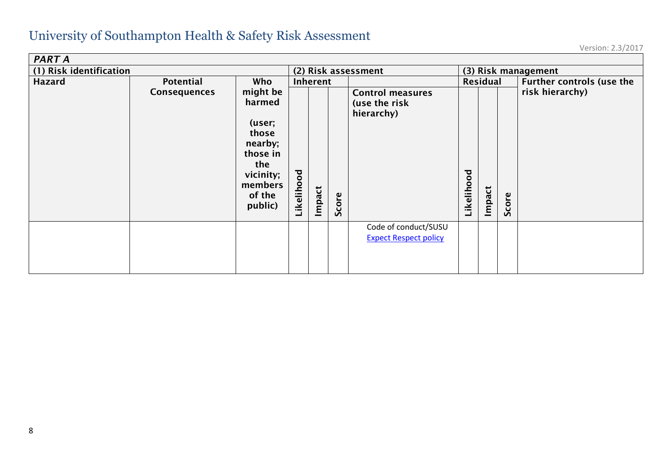| <b>PART A</b>           |                     |                                                                                                                  |                            |          |       |                                                        |                     |        |       |                           |
|-------------------------|---------------------|------------------------------------------------------------------------------------------------------------------|----------------------------|----------|-------|--------------------------------------------------------|---------------------|--------|-------|---------------------------|
| (1) Risk identification |                     |                                                                                                                  |                            |          |       | (2) Risk assessment                                    | (3) Risk management |        |       |                           |
| Hazard                  | Potential           | Who                                                                                                              |                            | Inherent |       |                                                        | Residual            |        |       | Further controls (use the |
|                         | <b>Consequences</b> | might be<br>harmed<br>(user;<br>those<br>nearby;<br>those in<br>the<br>vicinity;<br>members<br>of the<br>public) | $\overline{8}$<br>Likeliho | Impact   | Score | <b>Control measures</b><br>(use the risk<br>hierarchy) | Likelihood          | Impact | Score | risk hierarchy)           |
|                         |                     |                                                                                                                  |                            |          |       | Code of conduct/SUSU<br><b>Expect Respect policy</b>   |                     |        |       |                           |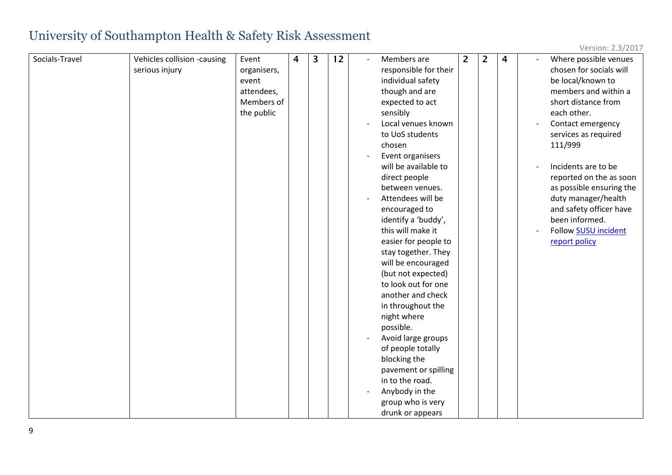| Socials-Travel | Vehicles collision -causing | Event       | $\overline{4}$ | 3 | 12 | Members are           | $\overline{2}$ | $\overline{2}$ | 4 | Where possible venues    |
|----------------|-----------------------------|-------------|----------------|---|----|-----------------------|----------------|----------------|---|--------------------------|
|                | serious injury              | organisers, |                |   |    | responsible for their |                |                |   | chosen for socials will  |
|                |                             | event       |                |   |    | individual safety     |                |                |   | be local/known to        |
|                |                             | attendees,  |                |   |    | though and are        |                |                |   | members and within a     |
|                |                             | Members of  |                |   |    | expected to act       |                |                |   | short distance from      |
|                |                             | the public  |                |   |    | sensibly              |                |                |   | each other.              |
|                |                             |             |                |   |    | Local venues known    |                |                |   | Contact emergency        |
|                |                             |             |                |   |    | to UoS students       |                |                |   | services as required     |
|                |                             |             |                |   |    | chosen                |                |                |   | 111/999                  |
|                |                             |             |                |   |    | Event organisers      |                |                |   |                          |
|                |                             |             |                |   |    | will be available to  |                |                |   | Incidents are to be      |
|                |                             |             |                |   |    | direct people         |                |                |   | reported on the as soon  |
|                |                             |             |                |   |    | between venues.       |                |                |   | as possible ensuring the |
|                |                             |             |                |   |    | Attendees will be     |                |                |   | duty manager/health      |
|                |                             |             |                |   |    | encouraged to         |                |                |   | and safety officer have  |
|                |                             |             |                |   |    | identify a 'buddy',   |                |                |   | been informed.           |
|                |                             |             |                |   |    | this will make it     |                |                |   | Follow SUSU incident     |
|                |                             |             |                |   |    | easier for people to  |                |                |   | report policy            |
|                |                             |             |                |   |    | stay together. They   |                |                |   |                          |
|                |                             |             |                |   |    | will be encouraged    |                |                |   |                          |
|                |                             |             |                |   |    | (but not expected)    |                |                |   |                          |
|                |                             |             |                |   |    | to look out for one   |                |                |   |                          |
|                |                             |             |                |   |    | another and check     |                |                |   |                          |
|                |                             |             |                |   |    | in throughout the     |                |                |   |                          |
|                |                             |             |                |   |    | night where           |                |                |   |                          |
|                |                             |             |                |   |    | possible.             |                |                |   |                          |
|                |                             |             |                |   |    | Avoid large groups    |                |                |   |                          |
|                |                             |             |                |   |    | of people totally     |                |                |   |                          |
|                |                             |             |                |   |    | blocking the          |                |                |   |                          |
|                |                             |             |                |   |    | pavement or spilling  |                |                |   |                          |
|                |                             |             |                |   |    | in to the road.       |                |                |   |                          |
|                |                             |             |                |   |    | Anybody in the        |                |                |   |                          |
|                |                             |             |                |   |    | group who is very     |                |                |   |                          |
|                |                             |             |                |   |    | drunk or appears      |                |                |   |                          |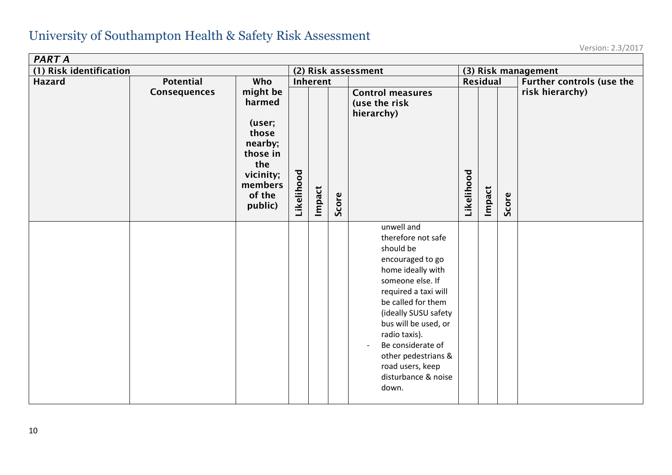| PART A                  |                                  |                                                                                                                         |            |                    |       |                                                                                                                                                                                                                                                                                                                                                       |                     |                    |       |                                              |  |  |
|-------------------------|----------------------------------|-------------------------------------------------------------------------------------------------------------------------|------------|--------------------|-------|-------------------------------------------------------------------------------------------------------------------------------------------------------------------------------------------------------------------------------------------------------------------------------------------------------------------------------------------------------|---------------------|--------------------|-------|----------------------------------------------|--|--|
| (1) Risk identification |                                  |                                                                                                                         |            |                    |       | (2) Risk assessment                                                                                                                                                                                                                                                                                                                                   | (3) Risk management |                    |       |                                              |  |  |
| <b>Hazard</b>           | <b>Potential</b><br>Consequences | Who<br>might be<br>harmed<br>(user;<br>those<br>nearby;<br>those in<br>the<br>vicinity;<br>members<br>of the<br>public) | Likelihood | Inherent<br>Impact | Score | <b>Control measures</b><br>(use the risk<br>hierarchy)                                                                                                                                                                                                                                                                                                | Likelihood          | Residual<br>Impact | Score | Further controls (use the<br>risk hierarchy) |  |  |
|                         |                                  |                                                                                                                         |            |                    |       | unwell and<br>therefore not safe<br>should be<br>encouraged to go<br>home ideally with<br>someone else. If<br>required a taxi will<br>be called for them<br>(ideally SUSU safety<br>bus will be used, or<br>radio taxis).<br>Be considerate of<br>$\overline{\phantom{a}}$<br>other pedestrians &<br>road users, keep<br>disturbance & noise<br>down. |                     |                    |       |                                              |  |  |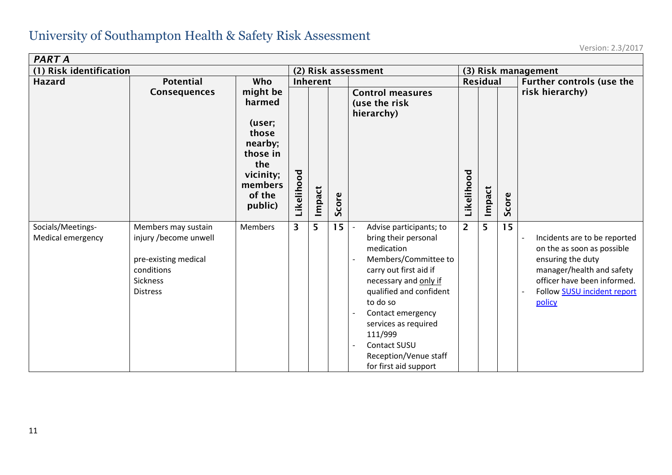| <b>PART A</b>                          |                                                                                                                   |                                                                         |            |                 |                 |                                                                                                                                                                                                                                                                                                           |                     |                 |       |                                                                                                                                                                                      |  |
|----------------------------------------|-------------------------------------------------------------------------------------------------------------------|-------------------------------------------------------------------------|------------|-----------------|-----------------|-----------------------------------------------------------------------------------------------------------------------------------------------------------------------------------------------------------------------------------------------------------------------------------------------------------|---------------------|-----------------|-------|--------------------------------------------------------------------------------------------------------------------------------------------------------------------------------------|--|
| (1) Risk identification                |                                                                                                                   |                                                                         |            |                 |                 | (2) Risk assessment                                                                                                                                                                                                                                                                                       | (3) Risk management |                 |       |                                                                                                                                                                                      |  |
| <b>Hazard</b>                          | <b>Potential</b><br>Consequences                                                                                  | Who<br>might be<br>harmed<br>(user;<br>those                            |            | <b>Inherent</b> |                 | <b>Control measures</b><br>(use the risk<br>hierarchy)                                                                                                                                                                                                                                                    |                     | <b>Residual</b> |       | Further controls (use the<br>risk hierarchy)                                                                                                                                         |  |
|                                        |                                                                                                                   | nearby;<br>those in<br>the<br>vicinity;<br>members<br>of the<br>public) | Likelihood | mpact           | core<br>Ū       |                                                                                                                                                                                                                                                                                                           | Likelihood          | Impact          | Score |                                                                                                                                                                                      |  |
| Socials/Meetings-<br>Medical emergency | Members may sustain<br>injury /become unwell<br>pre-existing medical<br>conditions<br>Sickness<br><b>Distress</b> | <b>Members</b>                                                          | 3          | 5               | 15 <sup>1</sup> | Advise participants; to<br>bring their personal<br>medication<br>Members/Committee to<br>carry out first aid if<br>necessary and only if<br>qualified and confident<br>to do so<br>Contact emergency<br>services as required<br>111/999<br>Contact SUSU<br>Reception/Venue staff<br>for first aid support | $\overline{2}$      | 5               | 15    | Incidents are to be reported<br>on the as soon as possible<br>ensuring the duty<br>manager/health and safety<br>officer have been informed.<br>Follow SUSU incident report<br>policy |  |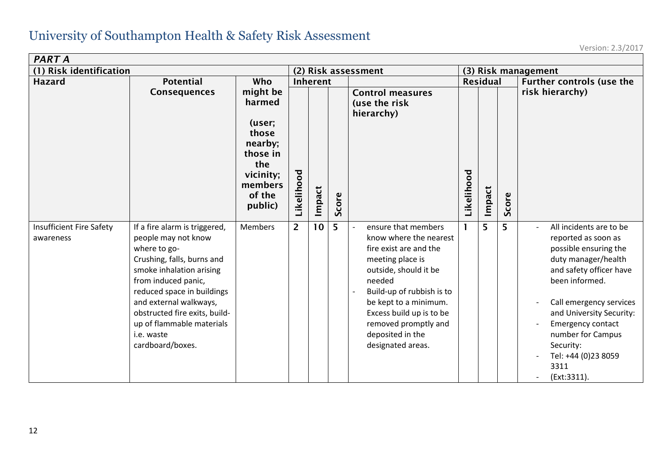| <b>PART A</b>                                |                                                                                                                                                                                                                                                                                                               |                                                                                            |                                     |                                                |   |                                                                                                                                                                                                                                                                                   |            |                     |       |                                                                                                                                                                                                                                                                                                         |  |  |
|----------------------------------------------|---------------------------------------------------------------------------------------------------------------------------------------------------------------------------------------------------------------------------------------------------------------------------------------------------------------|--------------------------------------------------------------------------------------------|-------------------------------------|------------------------------------------------|---|-----------------------------------------------------------------------------------------------------------------------------------------------------------------------------------------------------------------------------------------------------------------------------------|------------|---------------------|-------|---------------------------------------------------------------------------------------------------------------------------------------------------------------------------------------------------------------------------------------------------------------------------------------------------------|--|--|
| (1) Risk identification                      |                                                                                                                                                                                                                                                                                                               |                                                                                            | (2) Risk assessment                 |                                                |   |                                                                                                                                                                                                                                                                                   |            | (3) Risk management |       |                                                                                                                                                                                                                                                                                                         |  |  |
| <b>Hazard</b>                                | <b>Potential</b><br><b>Consequences</b>                                                                                                                                                                                                                                                                       | Who<br>might be<br>harmed                                                                  | Inherent<br><b>Control measures</b> |                                                |   |                                                                                                                                                                                                                                                                                   |            | <b>Residual</b>     |       | Further controls (use the<br>risk hierarchy)                                                                                                                                                                                                                                                            |  |  |
|                                              |                                                                                                                                                                                                                                                                                                               | (user;<br>those<br>nearby;<br>those in<br>the<br>vicinity;<br>members<br>of the<br>public) | Likelihood                          | (use the risk<br>hierarchy)<br>Impact<br>Score |   |                                                                                                                                                                                                                                                                                   | Likelihood | Impact              | Score |                                                                                                                                                                                                                                                                                                         |  |  |
| <b>Insufficient Fire Safety</b><br>awareness | If a fire alarm is triggered,<br>people may not know<br>where to go-<br>Crushing, falls, burns and<br>smoke inhalation arising<br>from induced panic,<br>reduced space in buildings<br>and external walkways,<br>obstructed fire exits, build-<br>up of flammable materials<br>i.e. waste<br>cardboard/boxes. | <b>Members</b>                                                                             | $\overline{2}$                      | 10                                             | 5 | ensure that members<br>know where the nearest<br>fire exist are and the<br>meeting place is<br>outside, should it be<br>needed<br>Build-up of rubbish is to<br>be kept to a minimum.<br>Excess build up is to be<br>removed promptly and<br>deposited in the<br>designated areas. |            | 5                   | 5     | All incidents are to be<br>reported as soon as<br>possible ensuring the<br>duty manager/health<br>and safety officer have<br>been informed.<br>Call emergency services<br>and University Security:<br>Emergency contact<br>number for Campus<br>Security:<br>Tel: +44 (0)23 8059<br>3311<br>(Ext:3311). |  |  |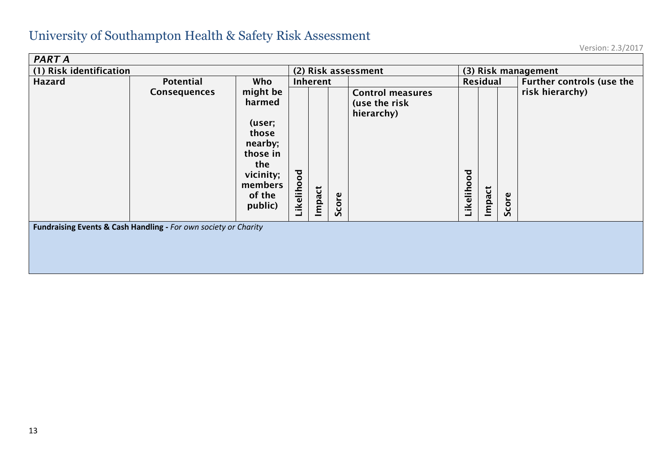| <b>PART A</b>                                                          |                     |                                                                                                                  |                     |        |  |                                                        |            |                     |       |                                  |  |  |
|------------------------------------------------------------------------|---------------------|------------------------------------------------------------------------------------------------------------------|---------------------|--------|--|--------------------------------------------------------|------------|---------------------|-------|----------------------------------|--|--|
| (1) Risk identification                                                |                     |                                                                                                                  | (2) Risk assessment |        |  |                                                        |            | (3) Risk management |       |                                  |  |  |
| <b>Hazard</b>                                                          | <b>Potential</b>    | Who                                                                                                              | Inherent            |        |  |                                                        |            | Residual            |       | <b>Further controls (use the</b> |  |  |
|                                                                        | <b>Consequences</b> | might be<br>harmed<br>(user;<br>those<br>nearby;<br>those in<br>the<br>vicinity;<br>members<br>of the<br>public) | Likelihood          | Impact |  | <b>Control measures</b><br>(use the risk<br>hierarchy) | Likelihood | Impact              | Score | risk hierarchy)                  |  |  |
| Sco<br>Fundraising Events & Cash Handling - For own society or Charity |                     |                                                                                                                  |                     |        |  |                                                        |            |                     |       |                                  |  |  |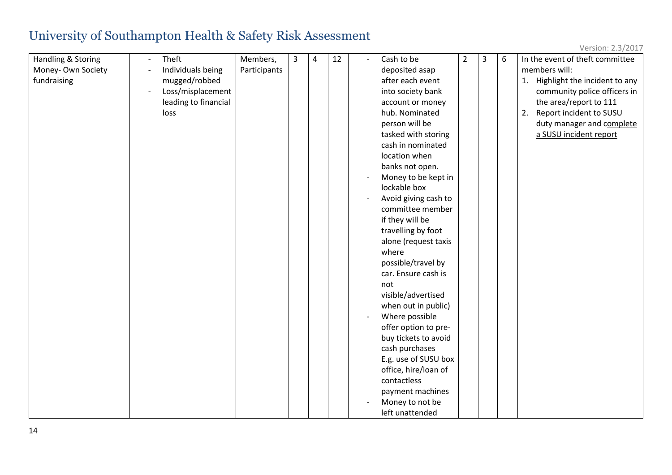| Version: 2.3/2017 |  |
|-------------------|--|
|-------------------|--|

| Handling & Storing | Theft                | Members,     | 3 | 4 | 12 | $\overline{\phantom{a}}$ | Cash to be           | $\overline{2}$ | 3 | 6 | In the event of theft committee  |
|--------------------|----------------------|--------------|---|---|----|--------------------------|----------------------|----------------|---|---|----------------------------------|
| Money-Own Society  | Individuals being    | Participants |   |   |    |                          | deposited asap       |                |   |   | members will:                    |
| fundraising        | mugged/robbed        |              |   |   |    |                          | after each event     |                |   |   | 1. Highlight the incident to any |
|                    | Loss/misplacement    |              |   |   |    |                          | into society bank    |                |   |   | community police officers in     |
|                    | leading to financial |              |   |   |    |                          | account or money     |                |   |   | the area/report to 111           |
|                    | loss                 |              |   |   |    |                          | hub. Nominated       |                |   |   | Report incident to SUSU<br>2.    |
|                    |                      |              |   |   |    |                          | person will be       |                |   |   | duty manager and complete        |
|                    |                      |              |   |   |    |                          | tasked with storing  |                |   |   | a SUSU incident report           |
|                    |                      |              |   |   |    |                          | cash in nominated    |                |   |   |                                  |
|                    |                      |              |   |   |    |                          | location when        |                |   |   |                                  |
|                    |                      |              |   |   |    |                          | banks not open.      |                |   |   |                                  |
|                    |                      |              |   |   |    |                          | Money to be kept in  |                |   |   |                                  |
|                    |                      |              |   |   |    |                          | lockable box         |                |   |   |                                  |
|                    |                      |              |   |   |    |                          | Avoid giving cash to |                |   |   |                                  |
|                    |                      |              |   |   |    |                          | committee member     |                |   |   |                                  |
|                    |                      |              |   |   |    |                          | if they will be      |                |   |   |                                  |
|                    |                      |              |   |   |    |                          | travelling by foot   |                |   |   |                                  |
|                    |                      |              |   |   |    |                          | alone (request taxis |                |   |   |                                  |
|                    |                      |              |   |   |    |                          | where                |                |   |   |                                  |
|                    |                      |              |   |   |    |                          | possible/travel by   |                |   |   |                                  |
|                    |                      |              |   |   |    |                          | car. Ensure cash is  |                |   |   |                                  |
|                    |                      |              |   |   |    |                          | not                  |                |   |   |                                  |
|                    |                      |              |   |   |    |                          | visible/advertised   |                |   |   |                                  |
|                    |                      |              |   |   |    |                          | when out in public)  |                |   |   |                                  |
|                    |                      |              |   |   |    |                          | Where possible       |                |   |   |                                  |
|                    |                      |              |   |   |    |                          | offer option to pre- |                |   |   |                                  |
|                    |                      |              |   |   |    |                          | buy tickets to avoid |                |   |   |                                  |
|                    |                      |              |   |   |    |                          | cash purchases       |                |   |   |                                  |
|                    |                      |              |   |   |    |                          | E.g. use of SUSU box |                |   |   |                                  |
|                    |                      |              |   |   |    |                          | office, hire/loan of |                |   |   |                                  |
|                    |                      |              |   |   |    |                          | contactless          |                |   |   |                                  |
|                    |                      |              |   |   |    |                          | payment machines     |                |   |   |                                  |
|                    |                      |              |   |   |    |                          | Money to not be      |                |   |   |                                  |
|                    |                      |              |   |   |    |                          | left unattended      |                |   |   |                                  |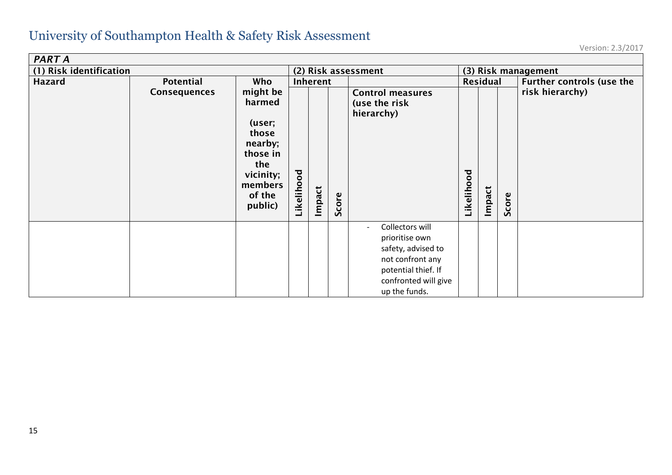| <b>PART A</b>           |              |                                                                                                                  |            |        |          |                                                                                                                                                                         |                     |          |       |                           |  |
|-------------------------|--------------|------------------------------------------------------------------------------------------------------------------|------------|--------|----------|-------------------------------------------------------------------------------------------------------------------------------------------------------------------------|---------------------|----------|-------|---------------------------|--|
| (1) Risk identification |              |                                                                                                                  |            |        |          | (2) Risk assessment                                                                                                                                                     | (3) Risk management |          |       |                           |  |
| <b>Hazard</b>           | Potential    | Who                                                                                                              | Inherent   |        |          |                                                                                                                                                                         |                     | Residual |       | Further controls (use the |  |
|                         | Consequences | might be<br>harmed<br>(user;<br>those<br>nearby;<br>those in<br>the<br>vicinity;<br>members<br>of the<br>public) | Likelihood | Impact | ၑ<br>Sco | <b>Control measures</b><br>(use the risk<br>hierarchy)                                                                                                                  | Likelihood          | Impact   | Score | risk hierarchy)           |  |
|                         |              |                                                                                                                  |            |        |          | Collectors will<br>$\overline{\phantom{0}}$<br>prioritise own<br>safety, advised to<br>not confront any<br>potential thief. If<br>confronted will give<br>up the funds. |                     |          |       |                           |  |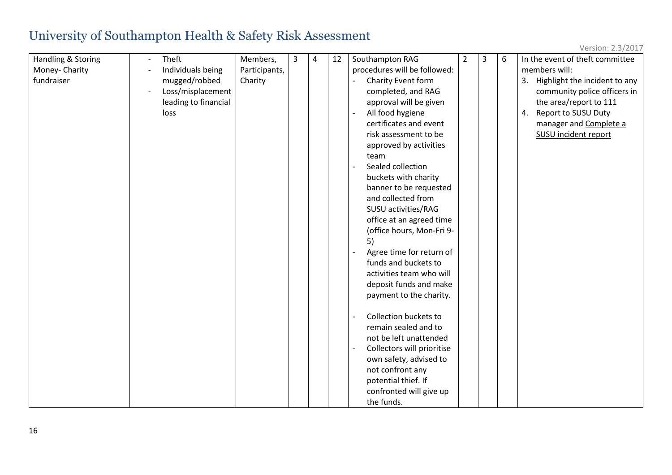| Version: 2.3/2017 |  |
|-------------------|--|
|-------------------|--|

| Handling & Storing | Theft<br>$\overline{a}$ | Members,      | 3 | $\overline{4}$ | 12 | Southampton RAG              | $\overline{2}$ | $\overline{3}$ | 6 | In the event of theft committee  |
|--------------------|-------------------------|---------------|---|----------------|----|------------------------------|----------------|----------------|---|----------------------------------|
| Money- Charity     | Individuals being       | Participants, |   |                |    | procedures will be followed: |                |                |   | members will:                    |
| fundraiser         | mugged/robbed           | Charity       |   |                |    | Charity Event form           |                |                |   | 3. Highlight the incident to any |
|                    | Loss/misplacement       |               |   |                |    | completed, and RAG           |                |                |   | community police officers in     |
|                    | leading to financial    |               |   |                |    | approval will be given       |                |                |   | the area/report to 111           |
|                    | loss                    |               |   |                |    | All food hygiene             |                |                |   | Report to SUSU Duty<br>4.        |
|                    |                         |               |   |                |    | certificates and event       |                |                |   | manager and Complete a           |
|                    |                         |               |   |                |    | risk assessment to be        |                |                |   | <b>SUSU incident report</b>      |
|                    |                         |               |   |                |    | approved by activities       |                |                |   |                                  |
|                    |                         |               |   |                |    | team                         |                |                |   |                                  |
|                    |                         |               |   |                |    | Sealed collection            |                |                |   |                                  |
|                    |                         |               |   |                |    | buckets with charity         |                |                |   |                                  |
|                    |                         |               |   |                |    | banner to be requested       |                |                |   |                                  |
|                    |                         |               |   |                |    | and collected from           |                |                |   |                                  |
|                    |                         |               |   |                |    | SUSU activities/RAG          |                |                |   |                                  |
|                    |                         |               |   |                |    | office at an agreed time     |                |                |   |                                  |
|                    |                         |               |   |                |    | (office hours, Mon-Fri 9-    |                |                |   |                                  |
|                    |                         |               |   |                |    | 5)                           |                |                |   |                                  |
|                    |                         |               |   |                |    | Agree time for return of     |                |                |   |                                  |
|                    |                         |               |   |                |    | funds and buckets to         |                |                |   |                                  |
|                    |                         |               |   |                |    | activities team who will     |                |                |   |                                  |
|                    |                         |               |   |                |    | deposit funds and make       |                |                |   |                                  |
|                    |                         |               |   |                |    | payment to the charity.      |                |                |   |                                  |
|                    |                         |               |   |                |    | Collection buckets to        |                |                |   |                                  |
|                    |                         |               |   |                |    | remain sealed and to         |                |                |   |                                  |
|                    |                         |               |   |                |    | not be left unattended       |                |                |   |                                  |
|                    |                         |               |   |                |    | Collectors will prioritise   |                |                |   |                                  |
|                    |                         |               |   |                |    | own safety, advised to       |                |                |   |                                  |
|                    |                         |               |   |                |    | not confront any             |                |                |   |                                  |
|                    |                         |               |   |                |    | potential thief. If          |                |                |   |                                  |
|                    |                         |               |   |                |    | confronted will give up      |                |                |   |                                  |
|                    |                         |               |   |                |    | the funds.                   |                |                |   |                                  |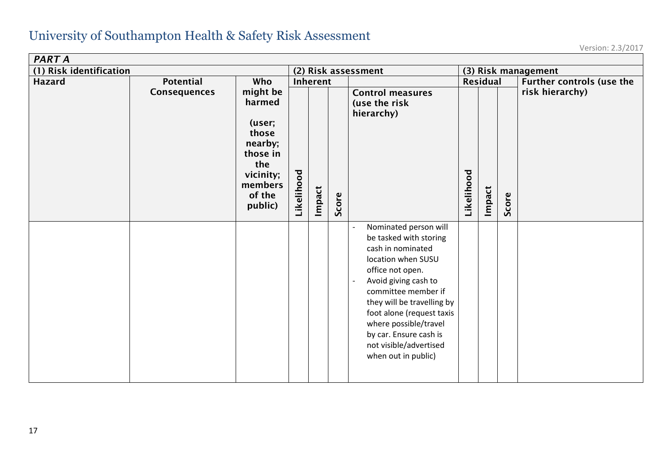| <b>PART A</b>           |              |                                                                                                                  |                     |        |       |                                                                                                                                                                                                                                                                                                                                                                            |            |                     |       |                           |  |
|-------------------------|--------------|------------------------------------------------------------------------------------------------------------------|---------------------|--------|-------|----------------------------------------------------------------------------------------------------------------------------------------------------------------------------------------------------------------------------------------------------------------------------------------------------------------------------------------------------------------------------|------------|---------------------|-------|---------------------------|--|
| (1) Risk identification |              |                                                                                                                  | (2) Risk assessment |        |       |                                                                                                                                                                                                                                                                                                                                                                            |            | (3) Risk management |       |                           |  |
| <b>Hazard</b>           | Potential    | Who                                                                                                              | Inherent            |        |       |                                                                                                                                                                                                                                                                                                                                                                            |            | Residual            |       | Further controls (use the |  |
|                         | Consequences | might be<br>harmed<br>(user;<br>those<br>nearby;<br>those in<br>the<br>vicinity;<br>members<br>of the<br>public) | Likelihood          | Impact | Score | <b>Control measures</b><br>(use the risk<br>hierarchy)                                                                                                                                                                                                                                                                                                                     | Likelihood | Impact              | Score | risk hierarchy)           |  |
|                         |              |                                                                                                                  |                     |        |       | Nominated person will<br>$\overline{\phantom{a}}$<br>be tasked with storing<br>cash in nominated<br>location when SUSU<br>office not open.<br>Avoid giving cash to<br>$\overline{a}$<br>committee member if<br>they will be travelling by<br>foot alone (request taxis<br>where possible/travel<br>by car. Ensure cash is<br>not visible/advertised<br>when out in public) |            |                     |       |                           |  |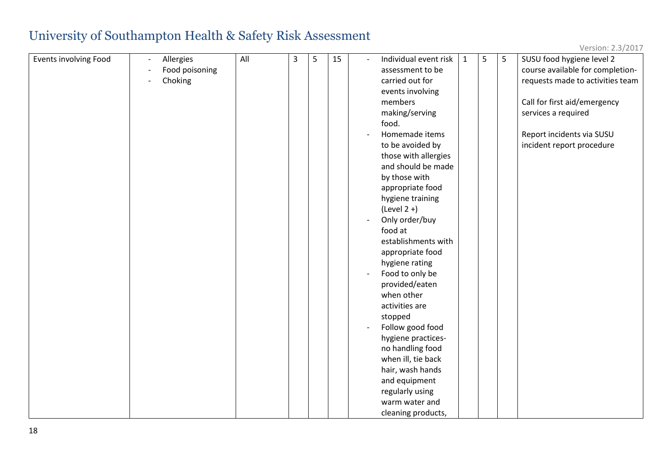| Version: 2.3/2017 |  |
|-------------------|--|
|-------------------|--|

| Events involving Food | $\overline{\phantom{a}}$ | Allergies      | All | $\overline{3}$ | 5 | 15 | $\sim$ | Individual event risk | $\mathbf{1}$ | 5 | 5 | SUSU food hygiene level 2        |
|-----------------------|--------------------------|----------------|-----|----------------|---|----|--------|-----------------------|--------------|---|---|----------------------------------|
|                       |                          | Food poisoning |     |                |   |    |        | assessment to be      |              |   |   | course available for completion- |
|                       | $\overline{\phantom{a}}$ | Choking        |     |                |   |    |        | carried out for       |              |   |   | requests made to activities team |
|                       |                          |                |     |                |   |    |        | events involving      |              |   |   |                                  |
|                       |                          |                |     |                |   |    |        | members               |              |   |   | Call for first aid/emergency     |
|                       |                          |                |     |                |   |    |        | making/serving        |              |   |   | services a required              |
|                       |                          |                |     |                |   |    |        | food.                 |              |   |   |                                  |
|                       |                          |                |     |                |   |    |        | Homemade items        |              |   |   | Report incidents via SUSU        |
|                       |                          |                |     |                |   |    |        | to be avoided by      |              |   |   | incident report procedure        |
|                       |                          |                |     |                |   |    |        | those with allergies  |              |   |   |                                  |
|                       |                          |                |     |                |   |    |        | and should be made    |              |   |   |                                  |
|                       |                          |                |     |                |   |    |        | by those with         |              |   |   |                                  |
|                       |                          |                |     |                |   |    |        | appropriate food      |              |   |   |                                  |
|                       |                          |                |     |                |   |    |        | hygiene training      |              |   |   |                                  |
|                       |                          |                |     |                |   |    |        | $(Level 2 + )$        |              |   |   |                                  |
|                       |                          |                |     |                |   |    |        | Only order/buy        |              |   |   |                                  |
|                       |                          |                |     |                |   |    |        | food at               |              |   |   |                                  |
|                       |                          |                |     |                |   |    |        | establishments with   |              |   |   |                                  |
|                       |                          |                |     |                |   |    |        | appropriate food      |              |   |   |                                  |
|                       |                          |                |     |                |   |    |        | hygiene rating        |              |   |   |                                  |
|                       |                          |                |     |                |   |    |        | Food to only be       |              |   |   |                                  |
|                       |                          |                |     |                |   |    |        | provided/eaten        |              |   |   |                                  |
|                       |                          |                |     |                |   |    |        | when other            |              |   |   |                                  |
|                       |                          |                |     |                |   |    |        | activities are        |              |   |   |                                  |
|                       |                          |                |     |                |   |    |        | stopped               |              |   |   |                                  |
|                       |                          |                |     |                |   |    |        | Follow good food      |              |   |   |                                  |
|                       |                          |                |     |                |   |    |        | hygiene practices-    |              |   |   |                                  |
|                       |                          |                |     |                |   |    |        | no handling food      |              |   |   |                                  |
|                       |                          |                |     |                |   |    |        | when ill, tie back    |              |   |   |                                  |
|                       |                          |                |     |                |   |    |        | hair, wash hands      |              |   |   |                                  |
|                       |                          |                |     |                |   |    |        | and equipment         |              |   |   |                                  |
|                       |                          |                |     |                |   |    |        | regularly using       |              |   |   |                                  |
|                       |                          |                |     |                |   |    |        | warm water and        |              |   |   |                                  |
|                       |                          |                |     |                |   |    |        | cleaning products,    |              |   |   |                                  |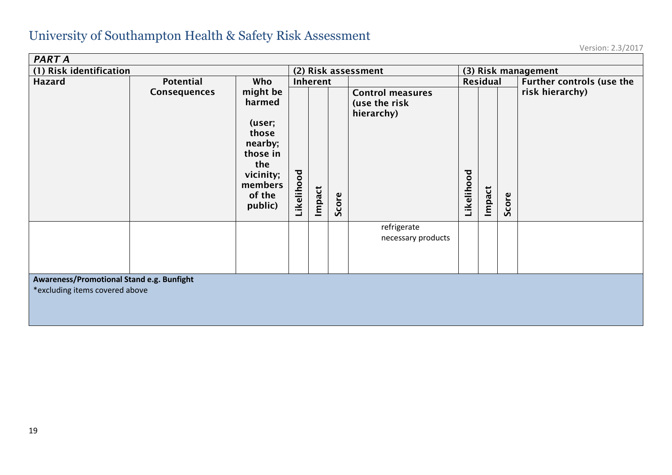| <b>PART A</b>                                                               |                     |                                                                                                                  |          |                                  |  |                                                        |                      |  |       |                                              |  |
|-----------------------------------------------------------------------------|---------------------|------------------------------------------------------------------------------------------------------------------|----------|----------------------------------|--|--------------------------------------------------------|----------------------|--|-------|----------------------------------------------|--|
| (1) Risk identification                                                     |                     |                                                                                                                  |          |                                  |  | (2) Risk assessment                                    | (3) Risk management  |  |       |                                              |  |
| <b>Hazard</b>                                                               | Potential           | Who                                                                                                              | Inherent |                                  |  |                                                        | <b>Residual</b>      |  |       | Further controls (use the<br>risk hierarchy) |  |
|                                                                             | <b>Consequences</b> | might be<br>harmed<br>(user;<br>those<br>nearby;<br>those in<br>the<br>vicinity;<br>members<br>of the<br>public) |          | Likelihood<br>Impact<br>ၑ<br>Sco |  | <b>Control measures</b><br>(use the risk<br>hierarchy) | Likelihood<br>Impact |  | Score |                                              |  |
|                                                                             |                     |                                                                                                                  |          |                                  |  | refrigerate<br>necessary products                      |                      |  |       |                                              |  |
|                                                                             |                     |                                                                                                                  |          |                                  |  |                                                        |                      |  |       |                                              |  |
| Awareness/Promotional Stand e.g. Bunfight<br>*excluding items covered above |                     |                                                                                                                  |          |                                  |  |                                                        |                      |  |       |                                              |  |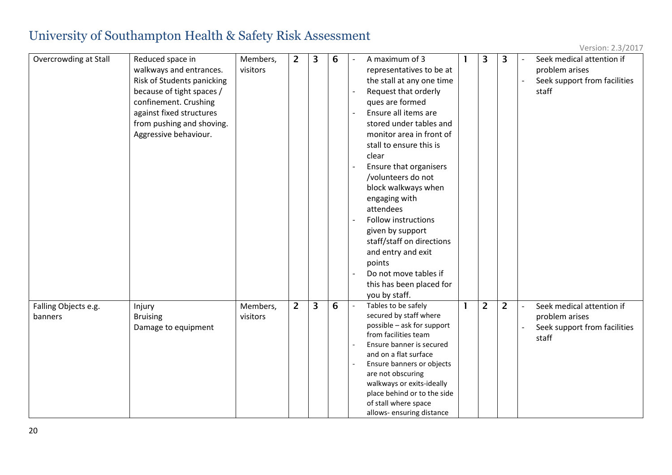| Overcrowding at Stall | Reduced space in           | Members, | $\overline{2}$ | 3 | 6 | A maximum of 3                                           | 3 | 3              |                | Seek medical attention if    |
|-----------------------|----------------------------|----------|----------------|---|---|----------------------------------------------------------|---|----------------|----------------|------------------------------|
|                       | walkways and entrances.    | visitors |                |   |   | representatives to be at                                 |   |                |                | problem arises               |
|                       | Risk of Students panicking |          |                |   |   | the stall at any one time                                |   |                |                | Seek support from facilities |
|                       | because of tight spaces /  |          |                |   |   | Request that orderly                                     |   |                |                | staff                        |
|                       | confinement. Crushing      |          |                |   |   | ques are formed                                          |   |                |                |                              |
|                       | against fixed structures   |          |                |   |   | Ensure all items are                                     |   |                |                |                              |
|                       | from pushing and shoving.  |          |                |   |   | stored under tables and                                  |   |                |                |                              |
|                       | Aggressive behaviour.      |          |                |   |   | monitor area in front of                                 |   |                |                |                              |
|                       |                            |          |                |   |   | stall to ensure this is                                  |   |                |                |                              |
|                       |                            |          |                |   |   | clear                                                    |   |                |                |                              |
|                       |                            |          |                |   |   | Ensure that organisers                                   |   |                |                |                              |
|                       |                            |          |                |   |   | /volunteers do not                                       |   |                |                |                              |
|                       |                            |          |                |   |   | block walkways when                                      |   |                |                |                              |
|                       |                            |          |                |   |   | engaging with                                            |   |                |                |                              |
|                       |                            |          |                |   |   | attendees                                                |   |                |                |                              |
|                       |                            |          |                |   |   | <b>Follow instructions</b>                               |   |                |                |                              |
|                       |                            |          |                |   |   | given by support                                         |   |                |                |                              |
|                       |                            |          |                |   |   | staff/staff on directions                                |   |                |                |                              |
|                       |                            |          |                |   |   | and entry and exit                                       |   |                |                |                              |
|                       |                            |          |                |   |   | points                                                   |   |                |                |                              |
|                       |                            |          |                |   |   | Do not move tables if                                    |   |                |                |                              |
|                       |                            |          |                |   |   | this has been placed for                                 |   |                |                |                              |
|                       |                            |          |                |   |   | you by staff.                                            |   |                |                |                              |
| Falling Objects e.g.  | Injury                     | Members, | $\overline{2}$ | 3 | 6 | Tables to be safely                                      | 2 | $\overline{2}$ | $\blacksquare$ | Seek medical attention if    |
| banners               | <b>Bruising</b>            | visitors |                |   |   | secured by staff where                                   |   |                |                | problem arises               |
|                       | Damage to equipment        |          |                |   |   | possible - ask for support                               |   |                |                | Seek support from facilities |
|                       |                            |          |                |   |   | from facilities team                                     |   |                |                | staff                        |
|                       |                            |          |                |   |   | Ensure banner is secured                                 |   |                |                |                              |
|                       |                            |          |                |   |   | and on a flat surface                                    |   |                |                |                              |
|                       |                            |          |                |   |   | Ensure banners or objects                                |   |                |                |                              |
|                       |                            |          |                |   |   | are not obscuring                                        |   |                |                |                              |
|                       |                            |          |                |   |   | walkways or exits-ideally<br>place behind or to the side |   |                |                |                              |
|                       |                            |          |                |   |   | of stall where space                                     |   |                |                |                              |
|                       |                            |          |                |   |   | allows-ensuring distance                                 |   |                |                |                              |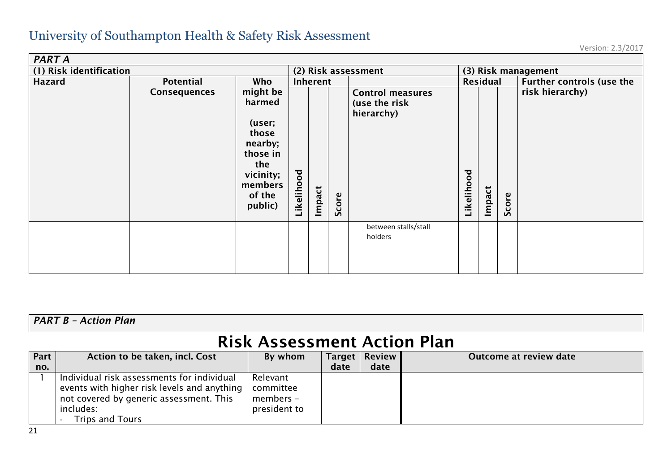| PART A                  |                     |                                                                                                                  |                     |          |       |                                                        |                     |        |                                  |                 |
|-------------------------|---------------------|------------------------------------------------------------------------------------------------------------------|---------------------|----------|-------|--------------------------------------------------------|---------------------|--------|----------------------------------|-----------------|
| (1) Risk identification |                     |                                                                                                                  | (2) Risk assessment |          |       |                                                        | (3) Risk management |        |                                  |                 |
| <b>Hazard</b>           | Potential<br>Who    |                                                                                                                  |                     | Inherent |       | Residual                                               |                     |        | <b>Further controls (use the</b> |                 |
|                         | <b>Consequences</b> | might be<br>harmed<br>(user;<br>those<br>nearby;<br>those in<br>the<br>vicinity;<br>members<br>of the<br>public) | Likelihood          | Impact   | Score | <b>Control measures</b><br>(use the risk<br>hierarchy) | Likelihood          | Impact | Score                            | risk hierarchy) |
|                         |                     |                                                                                                                  |                     |          |       | between stalls/stall<br>holders                        |                     |        |                                  |                 |

#### *PART B – Action Plan*

## Risk Assessment Action Plan

| Part | Action to be taken, incl. Cost              | By whom      | <b>Target</b> | <b>Review</b> | Outcome at review date |
|------|---------------------------------------------|--------------|---------------|---------------|------------------------|
| no.  |                                             |              | date          | date          |                        |
|      | Individual risk assessments for individual  | Relevant     |               |               |                        |
|      | events with higher risk levels and anything | committee    |               |               |                        |
|      | not covered by generic assessment. This     | members -    |               |               |                        |
|      | includes:                                   | president to |               |               |                        |
|      | <b>Trips and Tours</b>                      |              |               |               |                        |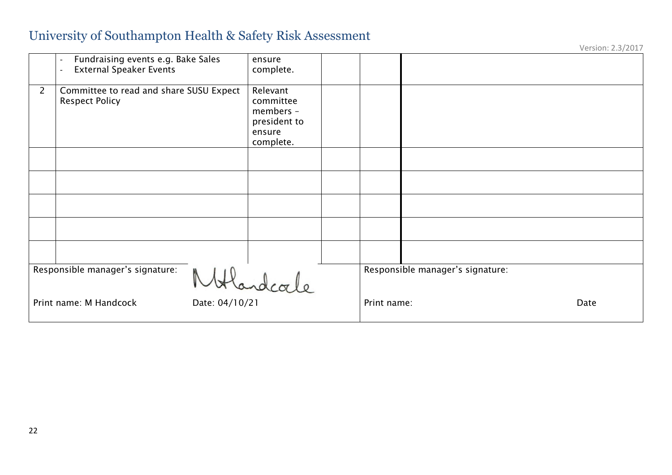|                |                                                                                                  |                                                                           |                                  | Version: 2.3/2017 |
|----------------|--------------------------------------------------------------------------------------------------|---------------------------------------------------------------------------|----------------------------------|-------------------|
|                | Fundraising events e.g. Bake Sales<br>$\overline{\phantom{a}}$<br><b>External Speaker Events</b> | ensure<br>complete.                                                       |                                  |                   |
| $\overline{2}$ | Committee to read and share SUSU Expect<br><b>Respect Policy</b>                                 | Relevant<br>committee<br>members -<br>president to<br>ensure<br>complete. |                                  |                   |
|                |                                                                                                  |                                                                           |                                  |                   |
|                |                                                                                                  |                                                                           |                                  |                   |
|                |                                                                                                  |                                                                           |                                  |                   |
|                |                                                                                                  |                                                                           |                                  |                   |
|                |                                                                                                  |                                                                           |                                  |                   |
|                | Responsible manager's signature:                                                                 | Handcale                                                                  | Responsible manager's signature: |                   |
|                | Date: 04/10/21<br>Print name: M Handcock                                                         |                                                                           | Print name:                      | Date              |